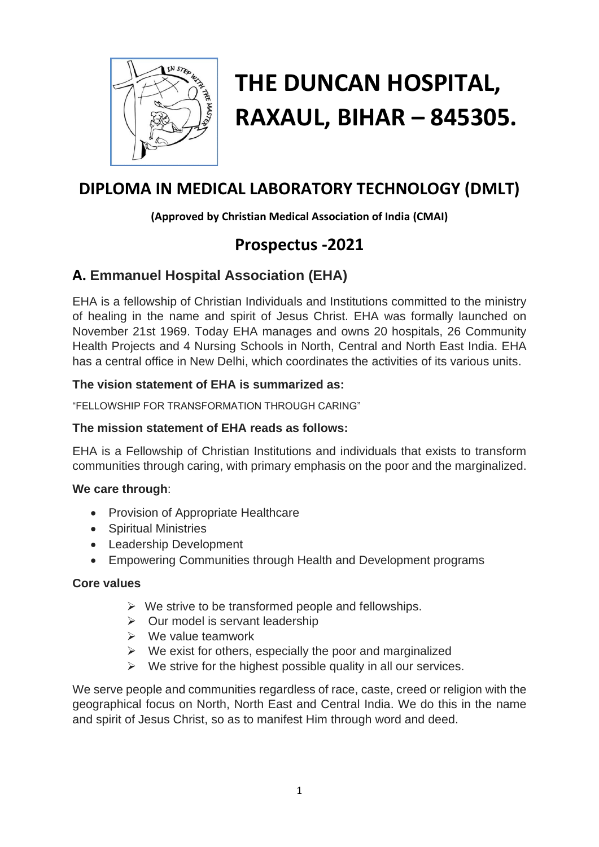

# **THE DUNCAN HOSPITAL, RAXAUL, BIHAR – 845305.**

# **DIPLOMA IN MEDICAL LABORATORY TECHNOLOGY (DMLT)**

#### **(Approved by Christian Medical Association of India (CMAI)**

# **Prospectus -2021**

## **A. Emmanuel Hospital Association (EHA)**

EHA is a fellowship of Christian Individuals and Institutions committed to the ministry of healing in the name and spirit of Jesus Christ. EHA was formally launched on November 21st 1969. Today EHA manages and owns 20 hospitals, 26 Community Health Projects and 4 Nursing Schools in North, Central and North East India. EHA has a central office in New Delhi, which coordinates the activities of its various units.

#### **The vision statement of EHA is summarized as:**

"FELLOWSHIP FOR TRANSFORMATION THROUGH CARING"

#### **The mission statement of EHA reads as follows:**

EHA is a Fellowship of Christian Institutions and individuals that exists to transform communities through caring, with primary emphasis on the poor and the marginalized.

#### **We care through**:

- Provision of Appropriate Healthcare
- Spiritual Ministries
- Leadership Development
- Empowering Communities through Health and Development programs

#### **Core values**

- $\triangleright$  We strive to be transformed people and fellowships.
- $\triangleright$  Our model is servant leadership
- ➢ We value teamwork
- $\triangleright$  We exist for others, especially the poor and marginalized
- $\triangleright$  We strive for the highest possible quality in all our services.

We serve people and communities regardless of race, caste, creed or religion with the geographical focus on North, North East and Central India. We do this in the name and spirit of Jesus Christ, so as to manifest Him through word and deed.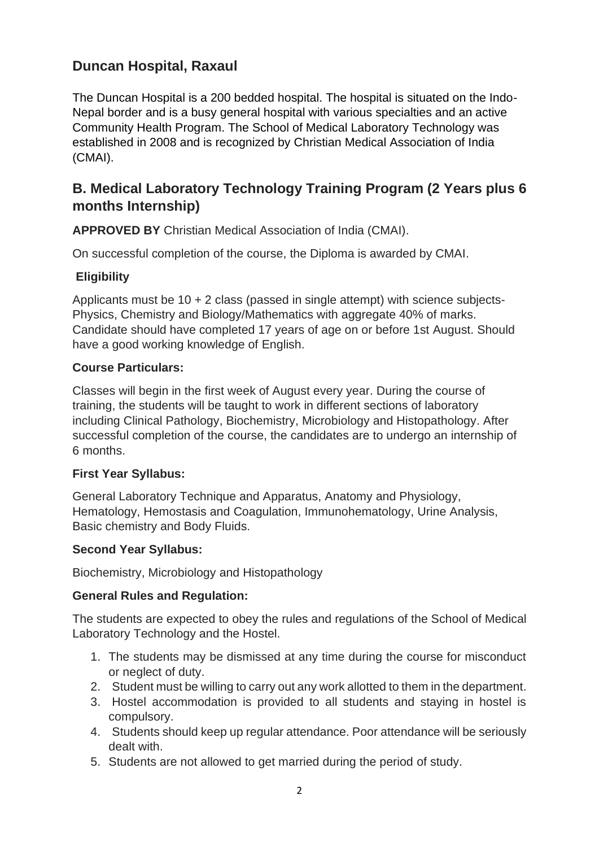## **Duncan Hospital, Raxaul**

The Duncan Hospital is a 200 bedded hospital. The hospital is situated on the Indo-Nepal border and is a busy general hospital with various specialties and an active Community Health Program. The School of Medical Laboratory Technology was established in 2008 and is recognized by Christian Medical Association of India (CMAI).

## **B. Medical Laboratory Technology Training Program (2 Years plus 6 months Internship)**

**APPROVED BY** Christian Medical Association of India (CMAI).

On successful completion of the course, the Diploma is awarded by CMAI.

#### **Eligibility**

Applicants must be 10 + 2 class (passed in single attempt) with science subjects-Physics, Chemistry and Biology/Mathematics with aggregate 40% of marks. Candidate should have completed 17 years of age on or before 1st August. Should have a good working knowledge of English.

#### **Course Particulars:**

Classes will begin in the first week of August every year. During the course of training, the students will be taught to work in different sections of laboratory including Clinical Pathology, Biochemistry, Microbiology and Histopathology. After successful completion of the course, the candidates are to undergo an internship of 6 months.

#### **First Year Syllabus:**

General Laboratory Technique and Apparatus, Anatomy and Physiology, Hematology, Hemostasis and Coagulation, Immunohematology, Urine Analysis, Basic chemistry and Body Fluids.

#### **Second Year Syllabus:**

Biochemistry, Microbiology and Histopathology

#### **General Rules and Regulation:**

The students are expected to obey the rules and regulations of the School of Medical Laboratory Technology and the Hostel.

- 1. The students may be dismissed at any time during the course for misconduct or neglect of duty.
- 2. Student must be willing to carry out any work allotted to them in the department.
- 3. Hostel accommodation is provided to all students and staying in hostel is compulsory.
- 4. Students should keep up regular attendance. Poor attendance will be seriously dealt with.
- 5. Students are not allowed to get married during the period of study.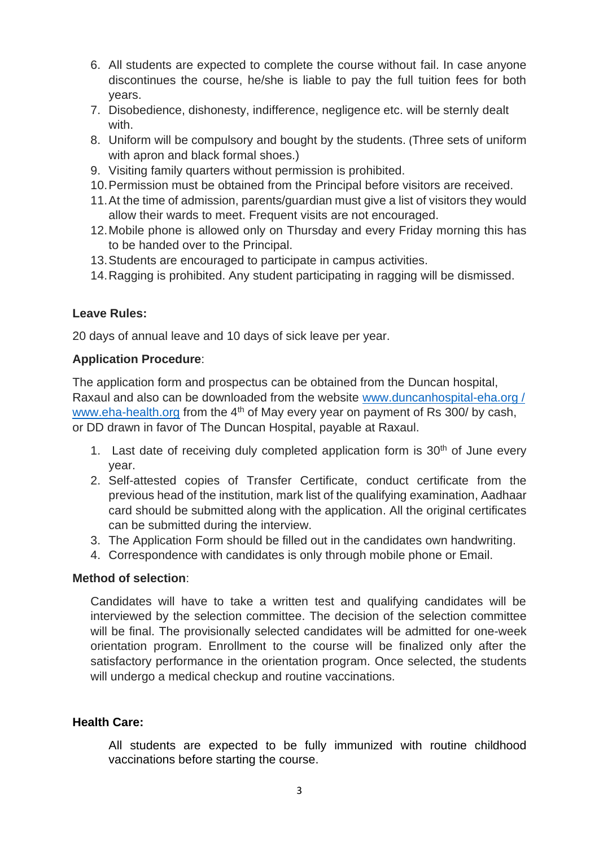- 6. All students are expected to complete the course without fail. In case anyone discontinues the course, he/she is liable to pay the full tuition fees for both years.
- 7. Disobedience, dishonesty, indifference, negligence etc. will be sternly dealt with.
- 8. Uniform will be compulsory and bought by the students. (Three sets of uniform with apron and black formal shoes.)
- 9. Visiting family quarters without permission is prohibited.
- 10.Permission must be obtained from the Principal before visitors are received.
- 11.At the time of admission, parents/guardian must give a list of visitors they would allow their wards to meet. Frequent visits are not encouraged.
- 12.Mobile phone is allowed only on Thursday and every Friday morning this has to be handed over to the Principal.
- 13.Students are encouraged to participate in campus activities.
- 14.Ragging is prohibited. Any student participating in ragging will be dismissed.

#### **Leave Rules:**

20 days of annual leave and 10 days of sick leave per year.

#### **Application Procedure**:

The application form and prospectus can be obtained from the Duncan hospital, Raxaul and also can be downloaded from the website [www.duncanhospital-eha.org](http://www.duncanhospital-eha.org/) / [www.eha-health.org](http://www.eha-health.org/) from the 4<sup>th</sup> of May every year on payment of Rs 300/ by cash, or DD drawn in favor of The Duncan Hospital, payable at Raxaul.

- 1. Last date of receiving duly completed application form is  $30<sup>th</sup>$  of June every year.
- 2. Self-attested copies of Transfer Certificate, conduct certificate from the previous head of the institution, mark list of the qualifying examination, Aadhaar card should be submitted along with the application. All the original certificates can be submitted during the interview.
- 3. The Application Form should be filled out in the candidates own handwriting.
- 4. Correspondence with candidates is only through mobile phone or Email.

#### **Method of selection**:

Candidates will have to take a written test and qualifying candidates will be interviewed by the selection committee. The decision of the selection committee will be final. The provisionally selected candidates will be admitted for one-week orientation program. Enrollment to the course will be finalized only after the satisfactory performance in the orientation program. Once selected, the students will undergo a medical checkup and routine vaccinations.

#### **Health Care:**

All students are expected to be fully immunized with routine childhood vaccinations before starting the course.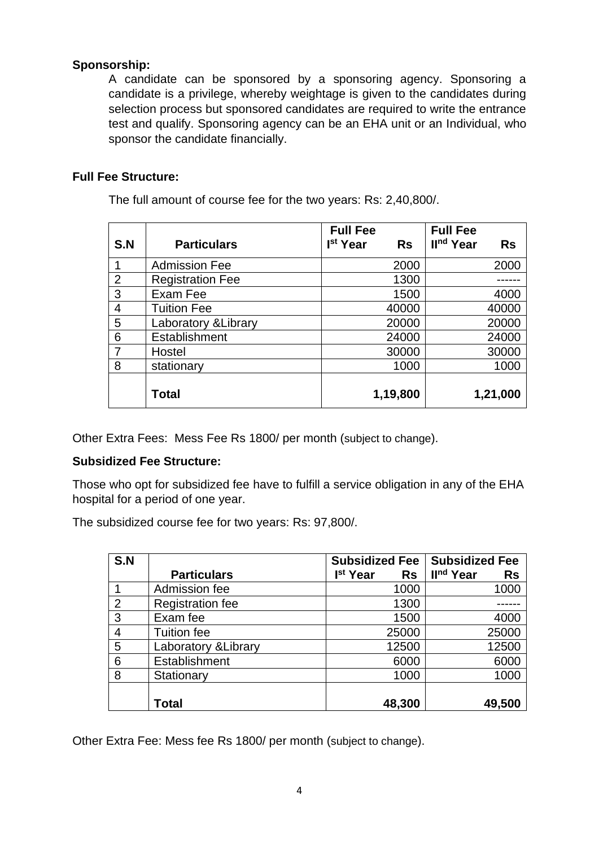#### **Sponsorship:**

A candidate can be sponsored by a sponsoring agency. Sponsoring a candidate is a privilege, whereby weightage is given to the candidates during selection process but sponsored candidates are required to write the entrance test and qualify. Sponsoring agency can be an EHA unit or an Individual, who sponsor the candidate financially.

#### **Full Fee Structure:**

The full amount of course fee for the two years: Rs: 2,40,800/.

|                |                         | <b>Full Fee</b>                   | <b>Full Fee</b>                    |
|----------------|-------------------------|-----------------------------------|------------------------------------|
| S.N            | <b>Particulars</b>      | I <sup>st</sup> Year<br><b>Rs</b> | II <sup>nd</sup> Year<br><b>Rs</b> |
|                | <b>Admission Fee</b>    | 2000                              | 2000                               |
| $\overline{2}$ | <b>Registration Fee</b> | 1300                              |                                    |
| 3              | Exam Fee                | 1500                              | 4000                               |
| 4              | <b>Tuition Fee</b>      | 40000                             | 40000                              |
| 5              | Laboratory & Library    | 20000                             | 20000                              |
| 6              | Establishment           | 24000                             | 24000                              |
| $\overline{7}$ | Hostel                  | 30000                             | 30000                              |
| 8              | stationary              | 1000                              | 1000                               |
|                | <b>Total</b>            | 1,19,800                          | 1,21,000                           |
|                |                         |                                   |                                    |

Other Extra Fees: Mess Fee Rs 1800/ per month (subject to change).

#### **Subsidized Fee Structure:**

Those who opt for subsidized fee have to fulfill a service obligation in any of the EHA hospital for a period of one year.

The subsidized course fee for two years: Rs: 97,800/.

| S.N            |                         | <b>Subsidized Fee</b>             | <b>Subsidized Fee</b>              |
|----------------|-------------------------|-----------------------------------|------------------------------------|
|                | <b>Particulars</b>      | I <sup>st</sup> Year<br><b>Rs</b> | II <sup>nd</sup> Year<br><b>Rs</b> |
|                | Admission fee           | 1000                              | 1000                               |
| 2              | <b>Registration fee</b> | 1300                              |                                    |
| 3              | Exam fee                | 1500                              | 4000                               |
| $\overline{4}$ | <b>Tuition fee</b>      | 25000                             | 25000                              |
| 5              | Laboratory & Library    | 12500                             | 12500                              |
| 6              | Establishment           | 6000                              | 6000                               |
| 8              | Stationary              | 1000                              | 1000                               |
|                |                         |                                   |                                    |
|                | Total                   | 48,300                            | 49,500                             |

Other Extra Fee: Mess fee Rs 1800/ per month (subject to change).